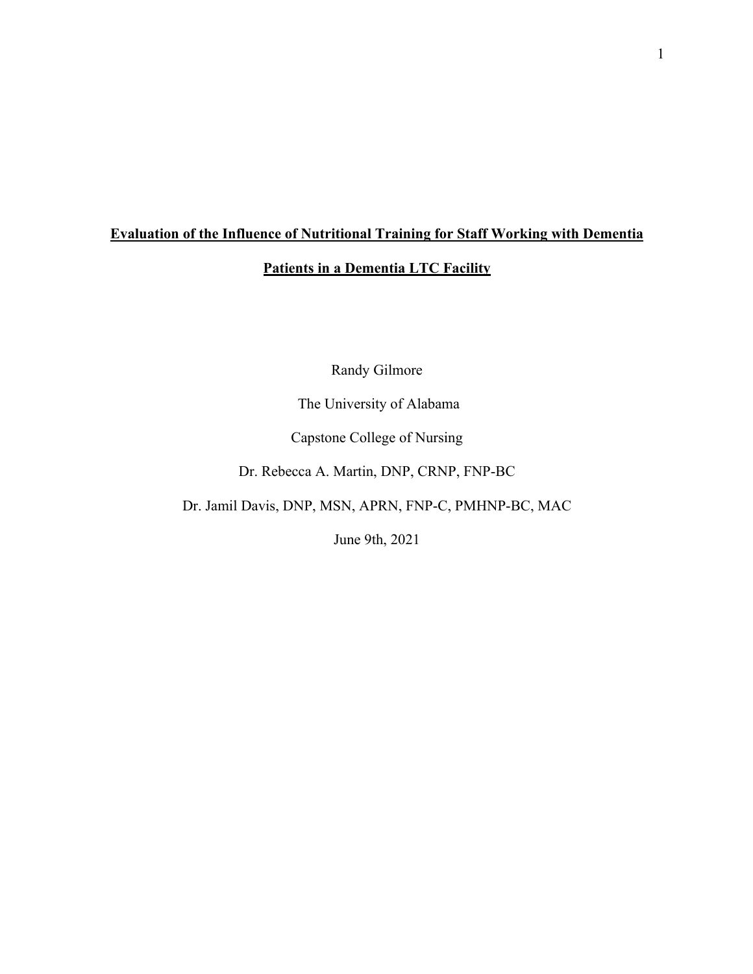## **Evaluation of the Influence of Nutritional Training for Staff Working with Dementia**

## **Patients in a Dementia LTC Facility**

Randy Gilmore

The University of Alabama

Capstone College of Nursing

Dr. Rebecca A. Martin, DNP, CRNP, FNP-BC

Dr. Jamil Davis, DNP, MSN, APRN, FNP-C, PMHNP-BC, MAC

June 9th, 2021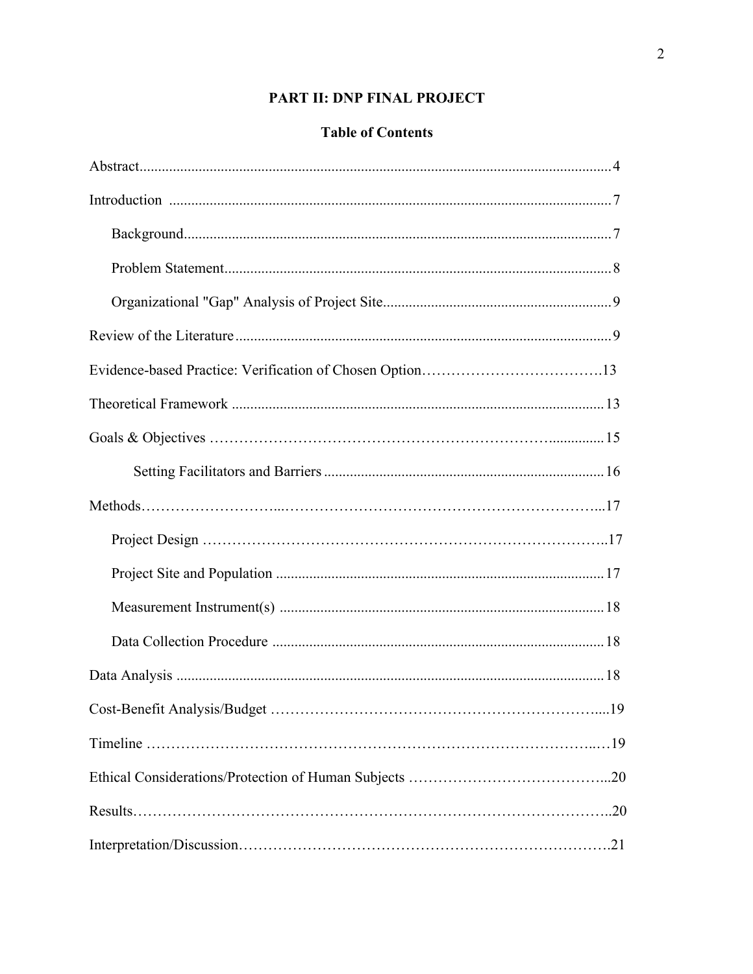## PART II: DNP FINAL PROJECT

## **Table of Contents**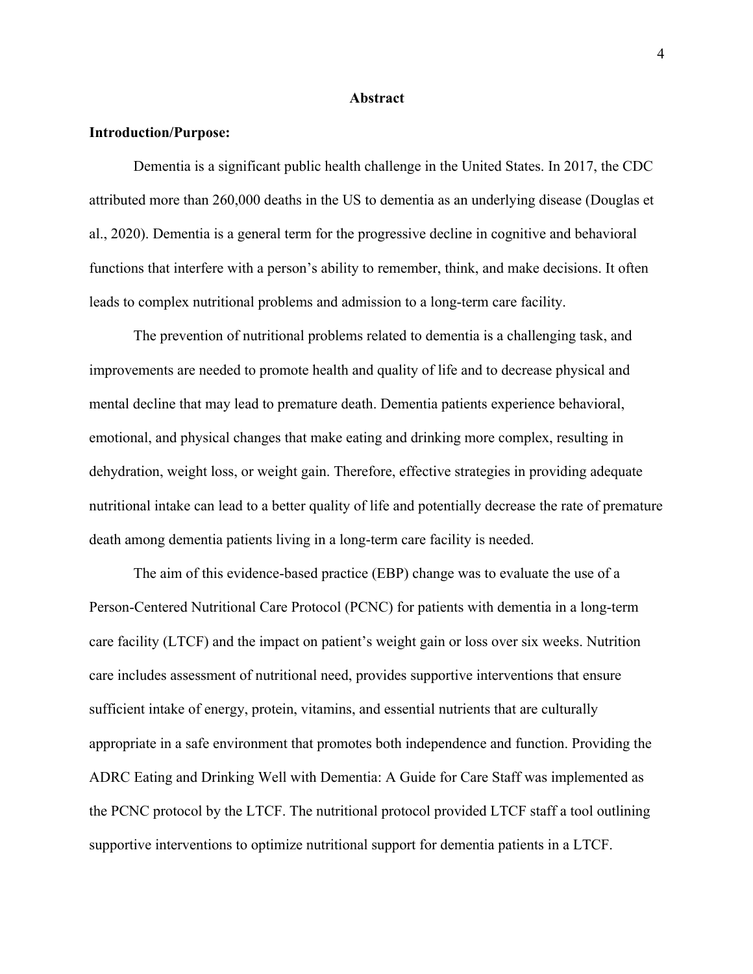#### **Abstract**

#### **Introduction/Purpose:**

Dementia is a significant public health challenge in the United States. In 2017, the CDC attributed more than 260,000 deaths in the US to dementia as an underlying disease (Douglas et al., 2020). Dementia is a general term for the progressive decline in cognitive and behavioral functions that interfere with a person's ability to remember, think, and make decisions. It often leads to complex nutritional problems and admission to a long-term care facility.

The prevention of nutritional problems related to dementia is a challenging task, and improvements are needed to promote health and quality of life and to decrease physical and mental decline that may lead to premature death. Dementia patients experience behavioral, emotional, and physical changes that make eating and drinking more complex, resulting in dehydration, weight loss, or weight gain. Therefore, effective strategies in providing adequate nutritional intake can lead to a better quality of life and potentially decrease the rate of premature death among dementia patients living in a long-term care facility is needed.

The aim of this evidence-based practice (EBP) change was to evaluate the use of a Person-Centered Nutritional Care Protocol (PCNC) for patients with dementia in a long-term care facility (LTCF) and the impact on patient's weight gain or loss over six weeks. Nutrition care includes assessment of nutritional need, provides supportive interventions that ensure sufficient intake of energy, protein, vitamins, and essential nutrients that are culturally appropriate in a safe environment that promotes both independence and function. Providing the ADRC Eating and Drinking Well with Dementia: A Guide for Care Staff was implemented as the PCNC protocol by the LTCF. The nutritional protocol provided LTCF staff a tool outlining supportive interventions to optimize nutritional support for dementia patients in a LTCF.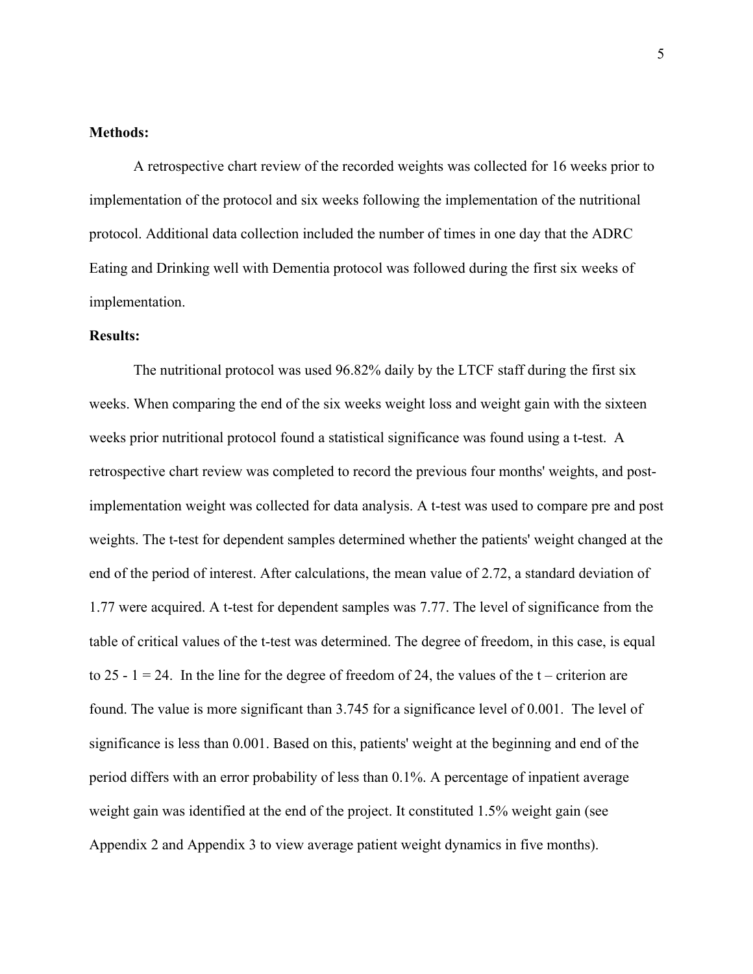#### **Methods:**

A retrospective chart review of the recorded weights was collected for 16 weeks prior to implementation of the protocol and six weeks following the implementation of the nutritional protocol. Additional data collection included the number of times in one day that the ADRC Eating and Drinking well with Dementia protocol was followed during the first six weeks of implementation.

#### **Results:**

The nutritional protocol was used 96.82% daily by the LTCF staff during the first six weeks. When comparing the end of the six weeks weight loss and weight gain with the sixteen weeks prior nutritional protocol found a statistical significance was found using a t-test. A retrospective chart review was completed to record the previous four months' weights, and postimplementation weight was collected for data analysis. A t-test was used to compare pre and post weights. The t-test for dependent samples determined whether the patients' weight changed at the end of the period of interest. After calculations, the mean value of 2.72, a standard deviation of 1.77 were acquired. A t-test for dependent samples was 7.77. The level of significance from the table of critical values of the t-test was determined. The degree of freedom, in this case, is equal to 25 - 1 = 24. In the line for the degree of freedom of 24, the values of the t – criterion are found. The value is more significant than 3.745 for a significance level of 0.001. The level of significance is less than 0.001. Based on this, patients' weight at the beginning and end of the period differs with an error probability of less than 0.1%. A percentage of inpatient average weight gain was identified at the end of the project. It constituted 1.5% weight gain (see Appendix 2 and Appendix 3 to view average patient weight dynamics in five months).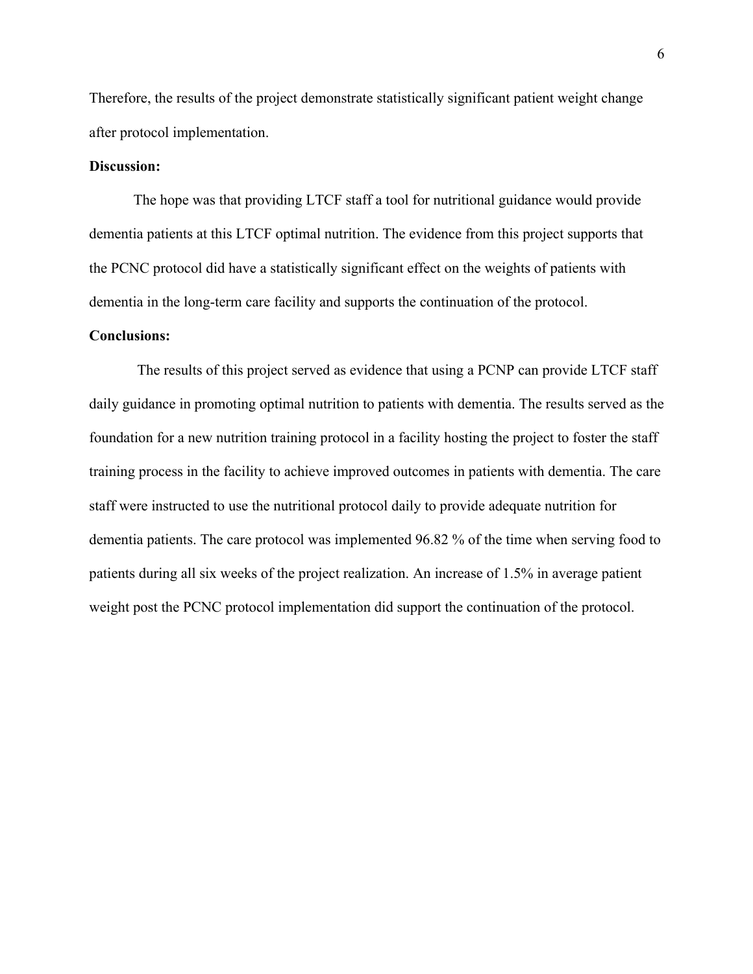Therefore, the results of the project demonstrate statistically significant patient weight change after protocol implementation.

#### **Discussion:**

The hope was that providing LTCF staff a tool for nutritional guidance would provide dementia patients at this LTCF optimal nutrition. The evidence from this project supports that the PCNC protocol did have a statistically significant effect on the weights of patients with dementia in the long-term care facility and supports the continuation of the protocol.

#### **Conclusions:**

The results of this project served as evidence that using a PCNP can provide LTCF staff daily guidance in promoting optimal nutrition to patients with dementia. The results served as the foundation for a new nutrition training protocol in a facility hosting the project to foster the staff training process in the facility to achieve improved outcomes in patients with dementia. The care staff were instructed to use the nutritional protocol daily to provide adequate nutrition for dementia patients. The care protocol was implemented 96.82 % of the time when serving food to patients during all six weeks of the project realization. An increase of 1.5% in average patient weight post the PCNC protocol implementation did support the continuation of the protocol.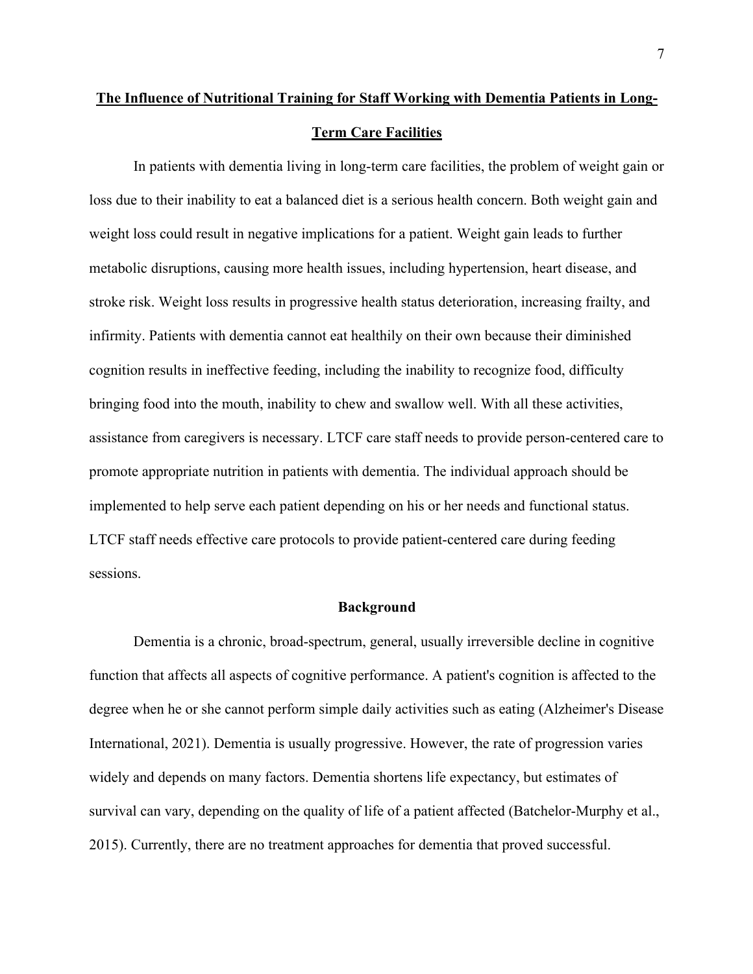# **The Influence of Nutritional Training for Staff Working with Dementia Patients in Long-Term Care Facilities**

In patients with dementia living in long-term care facilities, the problem of weight gain or loss due to their inability to eat a balanced diet is a serious health concern. Both weight gain and weight loss could result in negative implications for a patient. Weight gain leads to further metabolic disruptions, causing more health issues, including hypertension, heart disease, and stroke risk. Weight loss results in progressive health status deterioration, increasing frailty, and infirmity. Patients with dementia cannot eat healthily on their own because their diminished cognition results in ineffective feeding, including the inability to recognize food, difficulty bringing food into the mouth, inability to chew and swallow well. With all these activities, assistance from caregivers is necessary. LTCF care staff needs to provide person-centered care to promote appropriate nutrition in patients with dementia. The individual approach should be implemented to help serve each patient depending on his or her needs and functional status. LTCF staff needs effective care protocols to provide patient-centered care during feeding sessions.

#### **Background**

Dementia is a chronic, broad-spectrum, general, usually irreversible decline in cognitive function that affects all aspects of cognitive performance. A patient's cognition is affected to the degree when he or she cannot perform simple daily activities such as eating (Alzheimer's Disease International, 2021). Dementia is usually progressive. However, the rate of progression varies widely and depends on many factors. Dementia shortens life expectancy, but estimates of survival can vary, depending on the quality of life of a patient affected (Batchelor-Murphy et al., 2015). Currently, there are no treatment approaches for dementia that proved successful.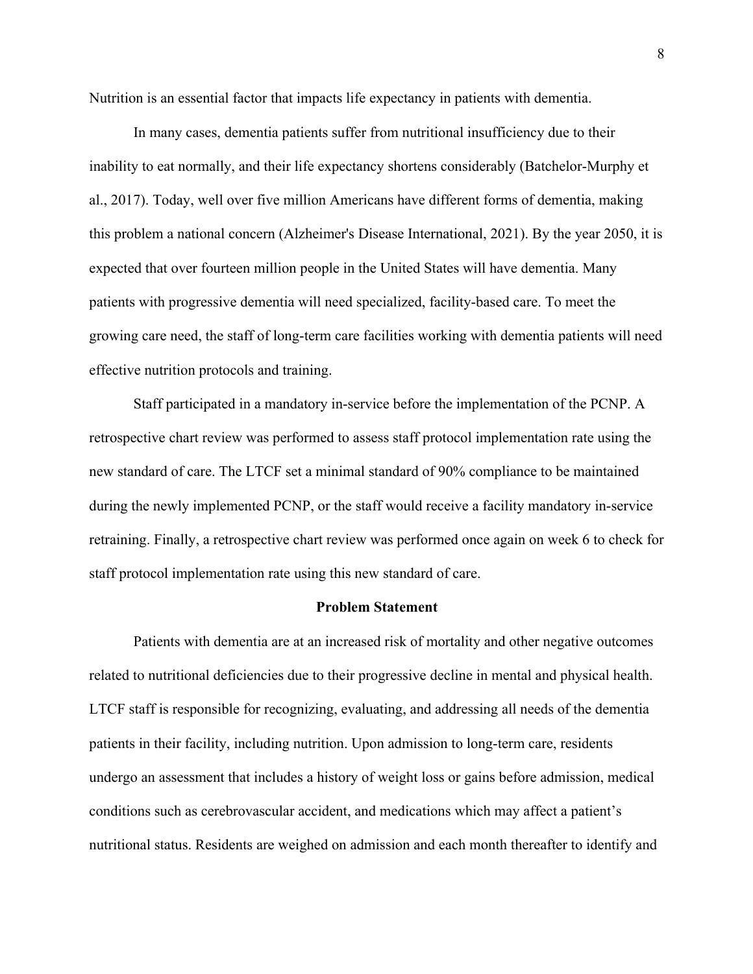Nutrition is an essential factor that impacts life expectancy in patients with dementia.

In many cases, dementia patients suffer from nutritional insufficiency due to their inability to eat normally, and their life expectancy shortens considerably (Batchelor-Murphy et al., 2017). Today, well over five million Americans have different forms of dementia, making this problem a national concern (Alzheimer's Disease International, 2021). By the year 2050, it is expected that over fourteen million people in the United States will have dementia. Many patients with progressive dementia will need specialized, facility-based care. To meet the growing care need, the staff of long-term care facilities working with dementia patients will need effective nutrition protocols and training.

Staff participated in a mandatory in-service before the implementation of the PCNP. A retrospective chart review was performed to assess staff protocol implementation rate using the new standard of care. The LTCF set a minimal standard of 90% compliance to be maintained during the newly implemented PCNP, or the staff would receive a facility mandatory in-service retraining. Finally, a retrospective chart review was performed once again on week 6 to check for staff protocol implementation rate using this new standard of care.

#### **Problem Statement**

Patients with dementia are at an increased risk of mortality and other negative outcomes related to nutritional deficiencies due to their progressive decline in mental and physical health. LTCF staff is responsible for recognizing, evaluating, and addressing all needs of the dementia patients in their facility, including nutrition. Upon admission to long-term care, residents undergo an assessment that includes a history of weight loss or gains before admission, medical conditions such as cerebrovascular accident, and medications which may affect a patient's nutritional status. Residents are weighed on admission and each month thereafter to identify and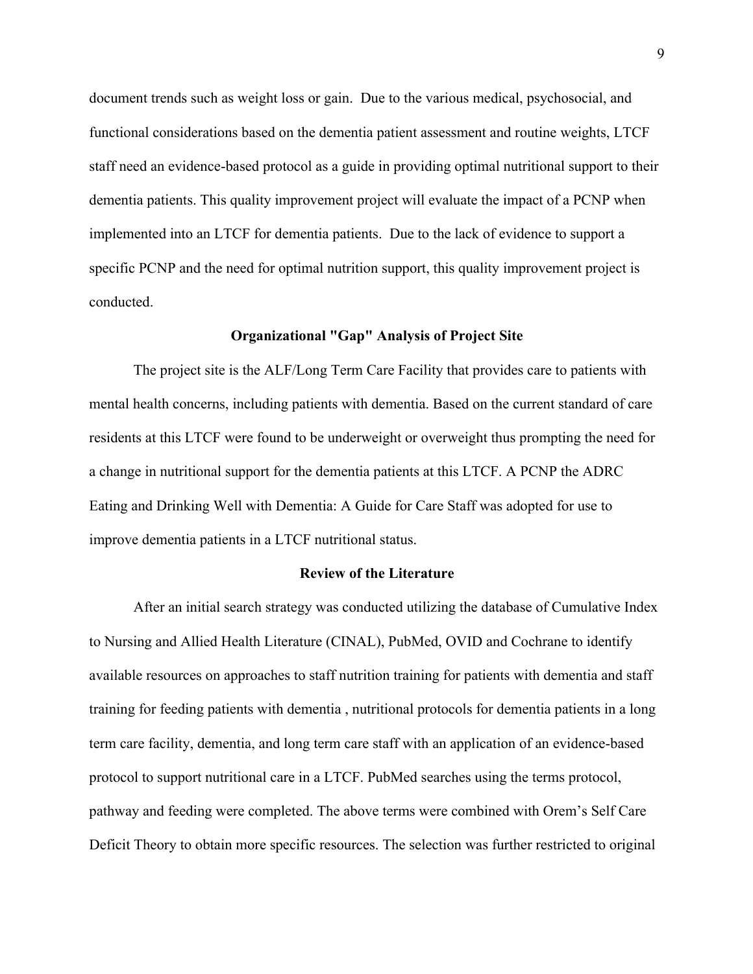document trends such as weight loss or gain. Due to the various medical, psychosocial, and functional considerations based on the dementia patient assessment and routine weights, LTCF staff need an evidence-based protocol as a guide in providing optimal nutritional support to their dementia patients. This quality improvement project will evaluate the impact of a PCNP when implemented into an LTCF for dementia patients. Due to the lack of evidence to support a specific PCNP and the need for optimal nutrition support, this quality improvement project is conducted.

#### **Organizational "Gap" Analysis of Project Site**

The project site is the ALF/Long Term Care Facility that provides care to patients with mental health concerns, including patients with dementia. Based on the current standard of care residents at this LTCF were found to be underweight or overweight thus prompting the need for a change in nutritional support for the dementia patients at this LTCF. A PCNP the ADRC Eating and Drinking Well with Dementia: A Guide for Care Staff was adopted for use to improve dementia patients in a LTCF nutritional status.

#### **Review of the Literature**

After an initial search strategy was conducted utilizing the database of Cumulative Index to Nursing and Allied Health Literature (CINAL), PubMed, OVID and Cochrane to identify available resources on approaches to staff nutrition training for patients with dementia and staff training for feeding patients with dementia , nutritional protocols for dementia patients in a long term care facility, dementia, and long term care staff with an application of an evidence-based protocol to support nutritional care in a LTCF. PubMed searches using the terms protocol, pathway and feeding were completed. The above terms were combined with Orem's Self Care Deficit Theory to obtain more specific resources. The selection was further restricted to original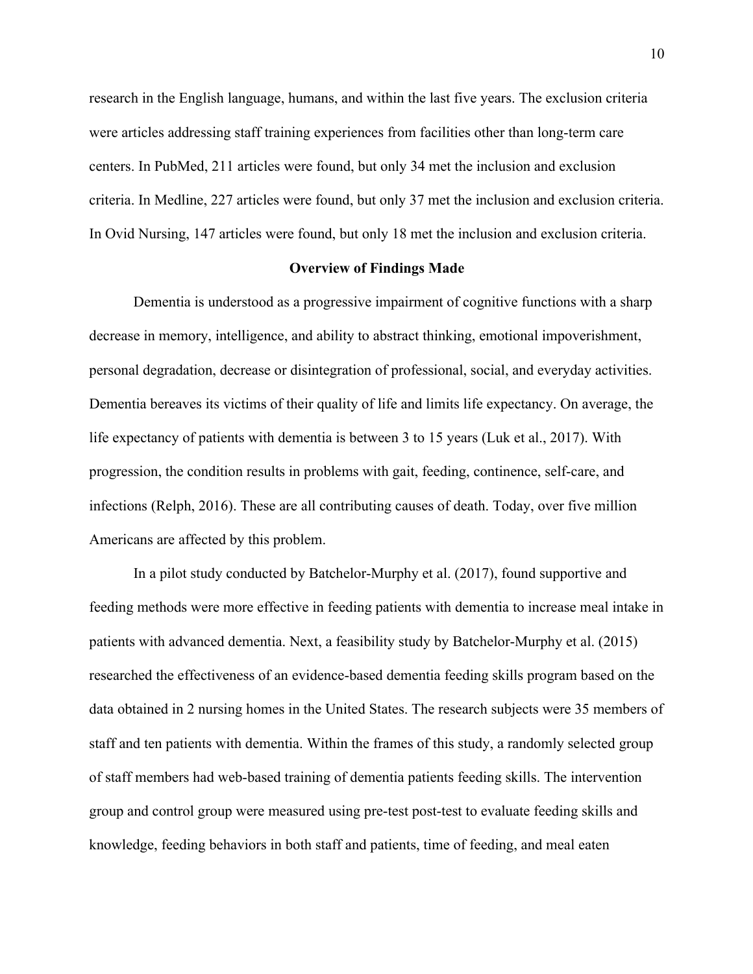research in the English language, humans, and within the last five years. The exclusion criteria were articles addressing staff training experiences from facilities other than long-term care centers. In PubMed, 211 articles were found, but only 34 met the inclusion and exclusion criteria. In Medline, 227 articles were found, but only 37 met the inclusion and exclusion criteria. In Ovid Nursing, 147 articles were found, but only 18 met the inclusion and exclusion criteria.

#### **Overview of Findings Made**

Dementia is understood as a progressive impairment of cognitive functions with a sharp decrease in memory, intelligence, and ability to abstract thinking, emotional impoverishment, personal degradation, decrease or disintegration of professional, social, and everyday activities. Dementia bereaves its victims of their quality of life and limits life expectancy. On average, the life expectancy of patients with dementia is between 3 to 15 years (Luk et al., 2017). With progression, the condition results in problems with gait, feeding, continence, self-care, and infections (Relph, 2016). These are all contributing causes of death. Today, over five million Americans are affected by this problem.

In a pilot study conducted by Batchelor-Murphy et al. (2017), found supportive and feeding methods were more effective in feeding patients with dementia to increase meal intake in patients with advanced dementia. Next, a feasibility study by Batchelor-Murphy et al. (2015) researched the effectiveness of an evidence-based dementia feeding skills program based on the data obtained in 2 nursing homes in the United States. The research subjects were 35 members of staff and ten patients with dementia. Within the frames of this study, a randomly selected group of staff members had web-based training of dementia patients feeding skills. The intervention group and control group were measured using pre-test post-test to evaluate feeding skills and knowledge, feeding behaviors in both staff and patients, time of feeding, and meal eaten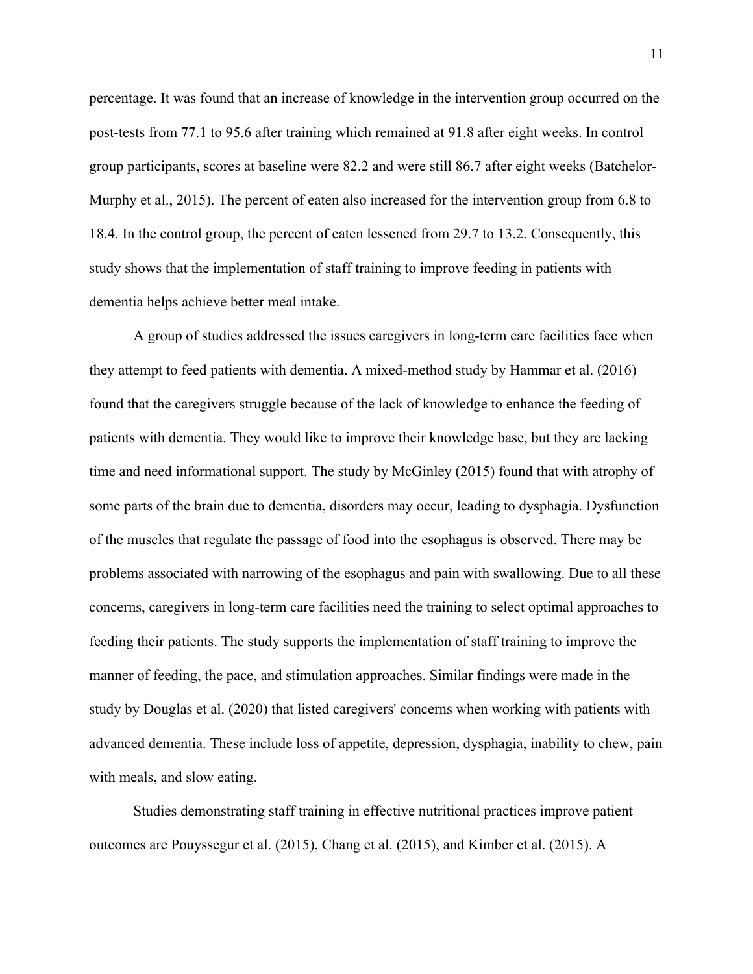percentage. It was found that an increase of knowledge in the intervention group occurred on the post-tests from 77.1 to 95.6 after training which remained at 91.8 after eight weeks. In control group participants, scores at baseline were 82.2 and were still 86.7 after eight weeks (Batchelor-Murphy et al., 2015). The percent of eaten also increased for the intervention group from 6.8 to 18.4. In the control group, the percent of eaten lessened from 29.7 to 13.2. Consequently, this study shows that the implementation of staff training to improve feeding in patients with dementia helps achieve better meal intake.

A group of studies addressed the issues caregivers in long-term care facilities face when they attempt to feed patients with dementia. A mixed-method study by Hammar et al. (2016) found that the caregivers struggle because of the lack of knowledge to enhance the feeding of patients with dementia. They would like to improve their knowledge base, but they are lacking time and need informational support. The study by McGinley (2015) found that with atrophy of some parts of the brain due to dementia, disorders may occur, leading to dysphagia. Dysfunction of the muscles that regulate the passage of food into the esophagus is observed. There may be problems associated with narrowing of the esophagus and pain with swallowing. Due to all these concerns, caregivers in long-term care facilities need the training to select optimal approaches to feeding their patients. The study supports the implementation of staff training to improve the manner of feeding, the pace, and stimulation approaches. Similar findings were made in the study by Douglas et al. (2020) that listed caregivers' concerns when working with patients with advanced dementia. These include loss of appetite, depression, dysphagia, inability to chew, pain with meals, and slow eating.

Studies demonstrating staff training in effective nutritional practices improve patient outcomes are Pouyssegur et al. (2015), Chang et al. (2015), and Kimber et al. (2015). A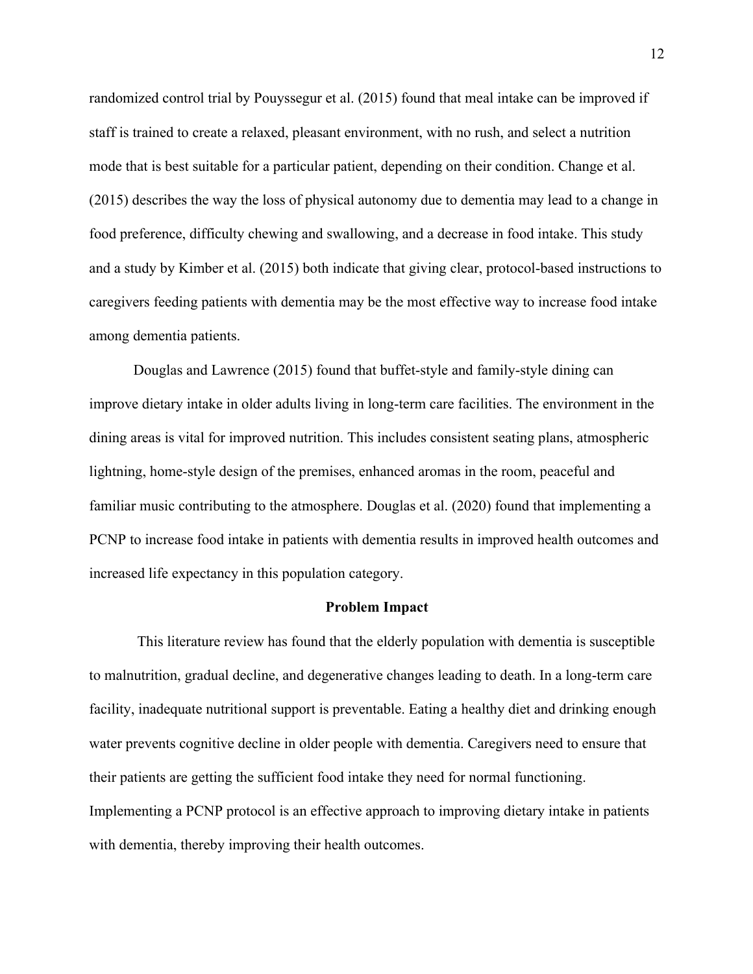randomized control trial by Pouyssegur et al. (2015) found that meal intake can be improved if staff is trained to create a relaxed, pleasant environment, with no rush, and select a nutrition mode that is best suitable for a particular patient, depending on their condition. Change et al. (2015) describes the way the loss of physical autonomy due to dementia may lead to a change in food preference, difficulty chewing and swallowing, and a decrease in food intake. This study and a study by Kimber et al. (2015) both indicate that giving clear, protocol-based instructions to caregivers feeding patients with dementia may be the most effective way to increase food intake among dementia patients.

Douglas and Lawrence (2015) found that buffet-style and family-style dining can improve dietary intake in older adults living in long-term care facilities. The environment in the dining areas is vital for improved nutrition. This includes consistent seating plans, atmospheric lightning, home-style design of the premises, enhanced aromas in the room, peaceful and familiar music contributing to the atmosphere. Douglas et al. (2020) found that implementing a PCNP to increase food intake in patients with dementia results in improved health outcomes and increased life expectancy in this population category.

#### **Problem Impact**

This literature review has found that the elderly population with dementia is susceptible to malnutrition, gradual decline, and degenerative changes leading to death. In a long-term care facility, inadequate nutritional support is preventable. Eating a healthy diet and drinking enough water prevents cognitive decline in older people with dementia. Caregivers need to ensure that their patients are getting the sufficient food intake they need for normal functioning. Implementing a PCNP protocol is an effective approach to improving dietary intake in patients with dementia, thereby improving their health outcomes.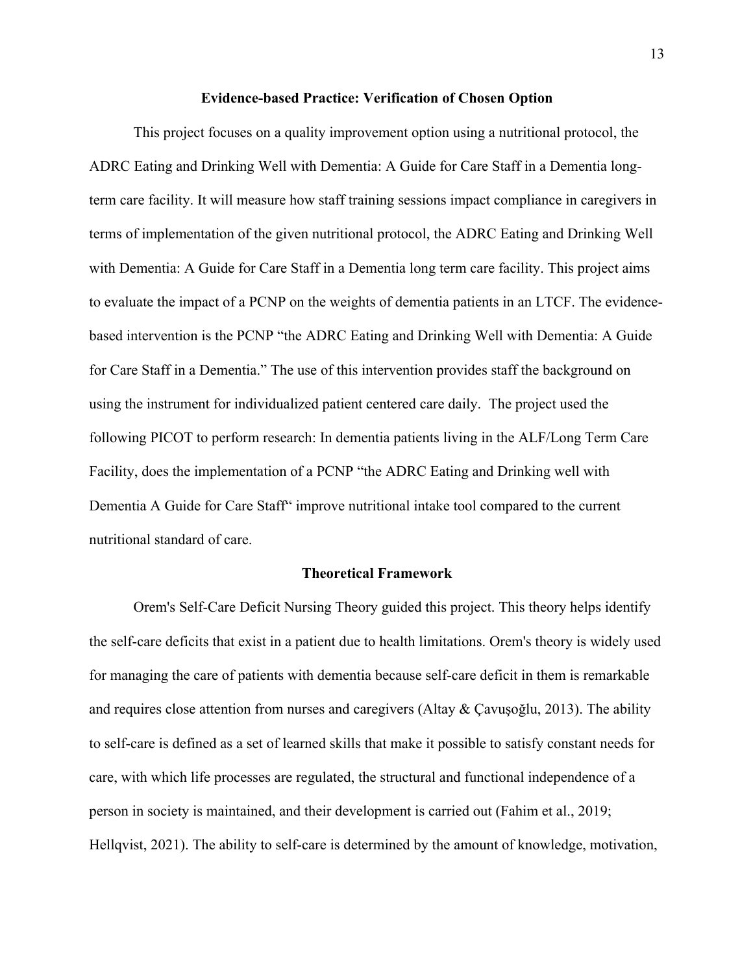#### **Evidence-based Practice: Verification of Chosen Option**

This project focuses on a quality improvement option using a nutritional protocol, the ADRC Eating and Drinking Well with Dementia: A Guide for Care Staff in a Dementia longterm care facility. It will measure how staff training sessions impact compliance in caregivers in terms of implementation of the given nutritional protocol, the ADRC Eating and Drinking Well with Dementia: A Guide for Care Staff in a Dementia long term care facility. This project aims to evaluate the impact of a PCNP on the weights of dementia patients in an LTCF. The evidencebased intervention is the PCNP "the ADRC Eating and Drinking Well with Dementia: A Guide for Care Staff in a Dementia." The use of this intervention provides staff the background on using the instrument for individualized patient centered care daily. The project used the following PICOT to perform research: In dementia patients living in the ALF/Long Term Care Facility, does the implementation of a PCNP "the ADRC Eating and Drinking well with Dementia A Guide for Care Staff" improve nutritional intake tool compared to the current nutritional standard of care.

#### **Theoretical Framework**

Orem's Self-Care Deficit Nursing Theory guided this project. This theory helps identify the self-care deficits that exist in a patient due to health limitations. Orem's theory is widely used for managing the care of patients with dementia because self-care deficit in them is remarkable and requires close attention from nurses and caregivers (Altay & Çavuşoğlu, 2013). The ability to self-care is defined as a set of learned skills that make it possible to satisfy constant needs for care, with which life processes are regulated, the structural and functional independence of a person in society is maintained, and their development is carried out (Fahim et al., 2019; Hellqvist, 2021). The ability to self-care is determined by the amount of knowledge, motivation,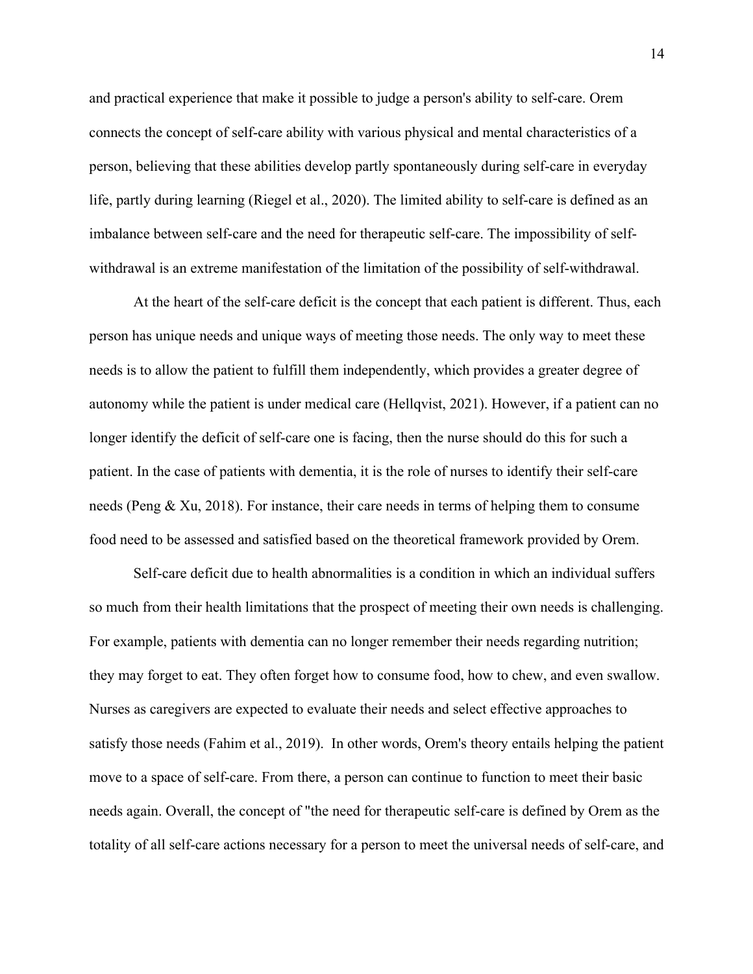and practical experience that make it possible to judge a person's ability to self-care. Orem connects the concept of self-care ability with various physical and mental characteristics of a person, believing that these abilities develop partly spontaneously during self-care in everyday life, partly during learning (Riegel et al., 2020). The limited ability to self-care is defined as an imbalance between self-care and the need for therapeutic self-care. The impossibility of selfwithdrawal is an extreme manifestation of the limitation of the possibility of self-withdrawal.

At the heart of the self-care deficit is the concept that each patient is different. Thus, each person has unique needs and unique ways of meeting those needs. The only way to meet these needs is to allow the patient to fulfill them independently, which provides a greater degree of autonomy while the patient is under medical care (Hellqvist, 2021). However, if a patient can no longer identify the deficit of self-care one is facing, then the nurse should do this for such a patient. In the case of patients with dementia, it is the role of nurses to identify their self-care needs (Peng & Xu, 2018). For instance, their care needs in terms of helping them to consume food need to be assessed and satisfied based on the theoretical framework provided by Orem.

Self-care deficit due to health abnormalities is a condition in which an individual suffers so much from their health limitations that the prospect of meeting their own needs is challenging. For example, patients with dementia can no longer remember their needs regarding nutrition; they may forget to eat. They often forget how to consume food, how to chew, and even swallow. Nurses as caregivers are expected to evaluate their needs and select effective approaches to satisfy those needs (Fahim et al., 2019). In other words, Orem's theory entails helping the patient move to a space of self-care. From there, a person can continue to function to meet their basic needs again. Overall, the concept of "the need for therapeutic self-care is defined by Orem as the totality of all self-care actions necessary for a person to meet the universal needs of self-care, and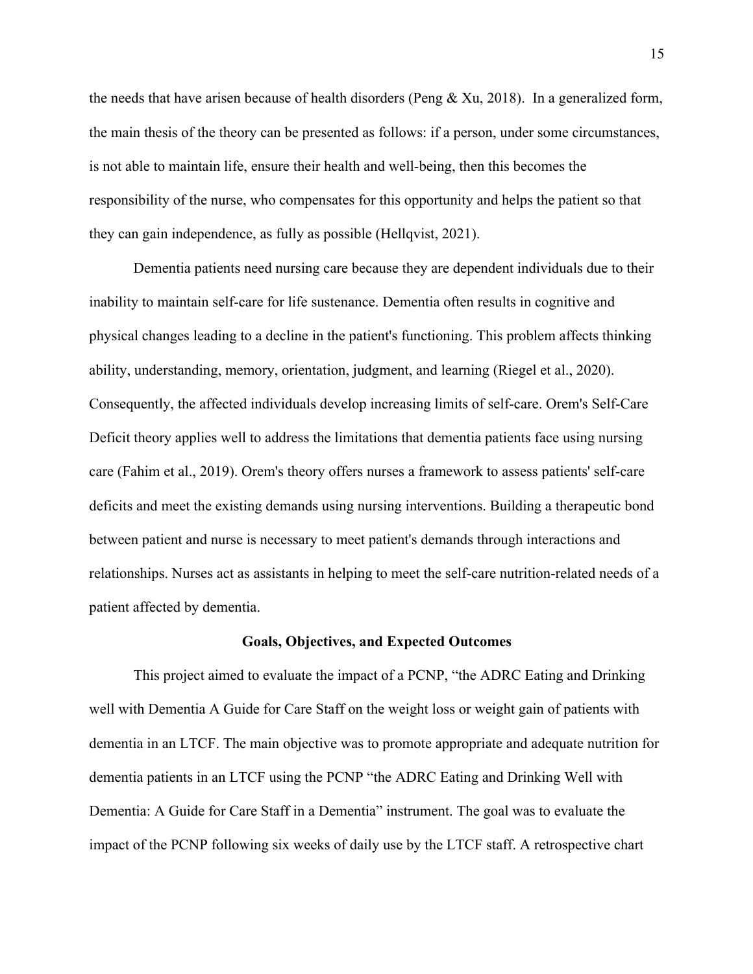the needs that have arisen because of health disorders (Peng & Xu, 2018). In a generalized form, the main thesis of the theory can be presented as follows: if a person, under some circumstances, is not able to maintain life, ensure their health and well-being, then this becomes the responsibility of the nurse, who compensates for this opportunity and helps the patient so that they can gain independence, as fully as possible (Hellqvist, 2021).

Dementia patients need nursing care because they are dependent individuals due to their inability to maintain self-care for life sustenance. Dementia often results in cognitive and physical changes leading to a decline in the patient's functioning. This problem affects thinking ability, understanding, memory, orientation, judgment, and learning (Riegel et al., 2020). Consequently, the affected individuals develop increasing limits of self-care. Orem's Self-Care Deficit theory applies well to address the limitations that dementia patients face using nursing care (Fahim et al., 2019). Orem's theory offers nurses a framework to assess patients' self-care deficits and meet the existing demands using nursing interventions. Building a therapeutic bond between patient and nurse is necessary to meet patient's demands through interactions and relationships. Nurses act as assistants in helping to meet the self-care nutrition-related needs of a patient affected by dementia.

#### **Goals, Objectives, and Expected Outcomes**

This project aimed to evaluate the impact of a PCNP, "the ADRC Eating and Drinking well with Dementia A Guide for Care Staff on the weight loss or weight gain of patients with dementia in an LTCF. The main objective was to promote appropriate and adequate nutrition for dementia patients in an LTCF using the PCNP "the ADRC Eating and Drinking Well with Dementia: A Guide for Care Staff in a Dementia" instrument. The goal was to evaluate the impact of the PCNP following six weeks of daily use by the LTCF staff. A retrospective chart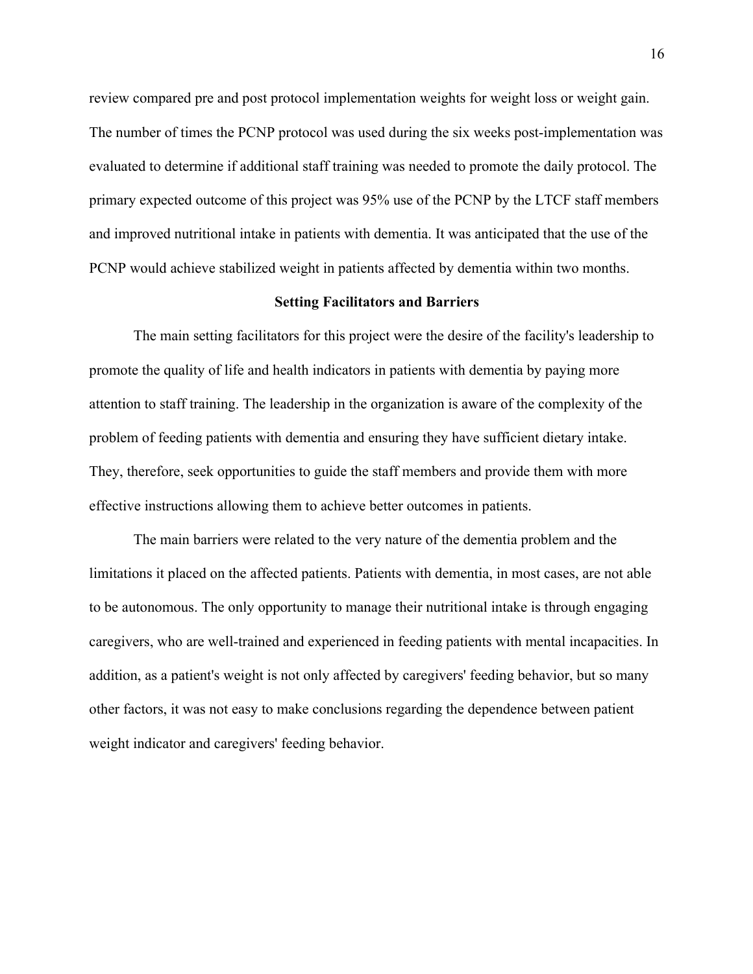review compared pre and post protocol implementation weights for weight loss or weight gain. The number of times the PCNP protocol was used during the six weeks post-implementation was evaluated to determine if additional staff training was needed to promote the daily protocol. The primary expected outcome of this project was 95% use of the PCNP by the LTCF staff members and improved nutritional intake in patients with dementia. It was anticipated that the use of the PCNP would achieve stabilized weight in patients affected by dementia within two months.

#### **Setting Facilitators and Barriers**

The main setting facilitators for this project were the desire of the facility's leadership to promote the quality of life and health indicators in patients with dementia by paying more attention to staff training. The leadership in the organization is aware of the complexity of the problem of feeding patients with dementia and ensuring they have sufficient dietary intake. They, therefore, seek opportunities to guide the staff members and provide them with more effective instructions allowing them to achieve better outcomes in patients.

The main barriers were related to the very nature of the dementia problem and the limitations it placed on the affected patients. Patients with dementia, in most cases, are not able to be autonomous. The only opportunity to manage their nutritional intake is through engaging caregivers, who are well-trained and experienced in feeding patients with mental incapacities. In addition, as a patient's weight is not only affected by caregivers' feeding behavior, but so many other factors, it was not easy to make conclusions regarding the dependence between patient weight indicator and caregivers' feeding behavior.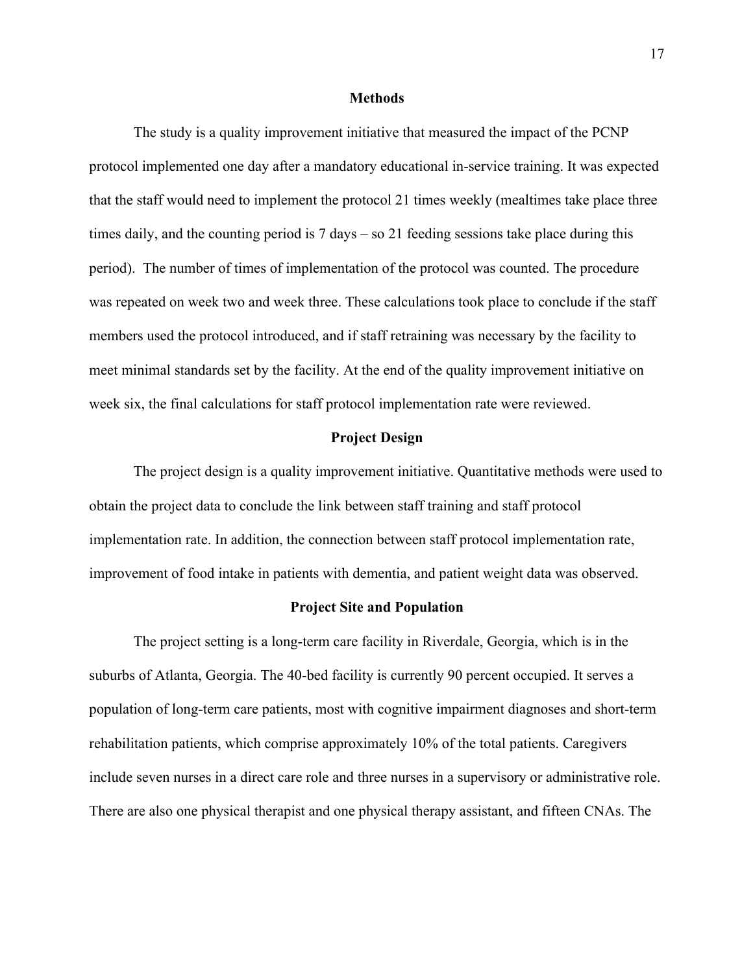#### **Methods**

The study is a quality improvement initiative that measured the impact of the PCNP protocol implemented one day after a mandatory educational in-service training. It was expected that the staff would need to implement the protocol 21 times weekly (mealtimes take place three times daily, and the counting period is 7 days – so 21 feeding sessions take place during this period). The number of times of implementation of the protocol was counted. The procedure was repeated on week two and week three. These calculations took place to conclude if the staff members used the protocol introduced, and if staff retraining was necessary by the facility to meet minimal standards set by the facility. At the end of the quality improvement initiative on week six, the final calculations for staff protocol implementation rate were reviewed.

#### **Project Design**

The project design is a quality improvement initiative. Quantitative methods were used to obtain the project data to conclude the link between staff training and staff protocol implementation rate. In addition, the connection between staff protocol implementation rate, improvement of food intake in patients with dementia, and patient weight data was observed.

#### **Project Site and Population**

The project setting is a long-term care facility in Riverdale, Georgia, which is in the suburbs of Atlanta, Georgia. The 40-bed facility is currently 90 percent occupied. It serves a population of long-term care patients, most with cognitive impairment diagnoses and short-term rehabilitation patients, which comprise approximately 10% of the total patients. Caregivers include seven nurses in a direct care role and three nurses in a supervisory or administrative role. There are also one physical therapist and one physical therapy assistant, and fifteen CNAs. The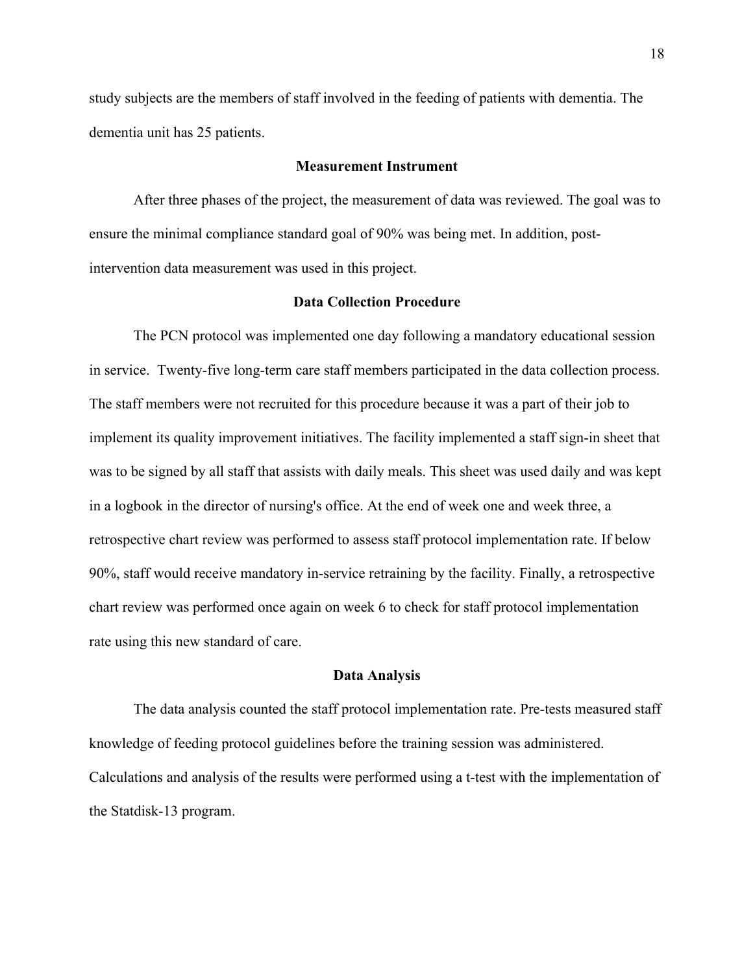study subjects are the members of staff involved in the feeding of patients with dementia. The dementia unit has 25 patients.

#### **Measurement Instrument**

After three phases of the project, the measurement of data was reviewed. The goal was to ensure the minimal compliance standard goal of 90% was being met. In addition, postintervention data measurement was used in this project.

#### **Data Collection Procedure**

The PCN protocol was implemented one day following a mandatory educational session in service. Twenty-five long-term care staff members participated in the data collection process. The staff members were not recruited for this procedure because it was a part of their job to implement its quality improvement initiatives. The facility implemented a staff sign-in sheet that was to be signed by all staff that assists with daily meals. This sheet was used daily and was kept in a logbook in the director of nursing's office. At the end of week one and week three, a retrospective chart review was performed to assess staff protocol implementation rate. If below 90%, staff would receive mandatory in-service retraining by the facility. Finally, a retrospective chart review was performed once again on week 6 to check for staff protocol implementation rate using this new standard of care.

#### **Data Analysis**

The data analysis counted the staff protocol implementation rate. Pre-tests measured staff knowledge of feeding protocol guidelines before the training session was administered. Calculations and analysis of the results were performed using a t-test with the implementation of the Statdisk-13 program.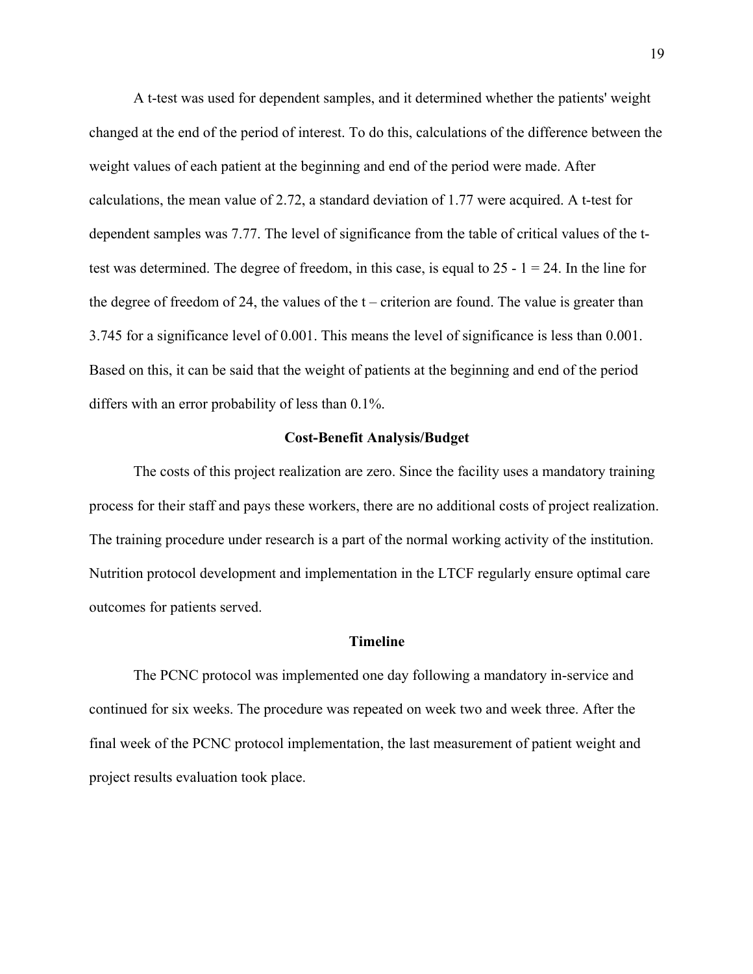A t-test was used for dependent samples, and it determined whether the patients' weight changed at the end of the period of interest. To do this, calculations of the difference between the weight values of each patient at the beginning and end of the period were made. After calculations, the mean value of 2.72, a standard deviation of 1.77 were acquired. A t-test for dependent samples was 7.77. The level of significance from the table of critical values of the ttest was determined. The degree of freedom, in this case, is equal to  $25 - 1 = 24$ . In the line for the degree of freedom of 24, the values of the  $t$  – criterion are found. The value is greater than 3.745 for a significance level of 0.001. This means the level of significance is less than 0.001. Based on this, it can be said that the weight of patients at the beginning and end of the period differs with an error probability of less than 0.1%.

#### **Cost-Benefit Analysis/Budget**

The costs of this project realization are zero. Since the facility uses a mandatory training process for their staff and pays these workers, there are no additional costs of project realization. The training procedure under research is a part of the normal working activity of the institution. Nutrition protocol development and implementation in the LTCF regularly ensure optimal care outcomes for patients served.

#### **Timeline**

The PCNC protocol was implemented one day following a mandatory in-service and continued for six weeks. The procedure was repeated on week two and week three. After the final week of the PCNC protocol implementation, the last measurement of patient weight and project results evaluation took place.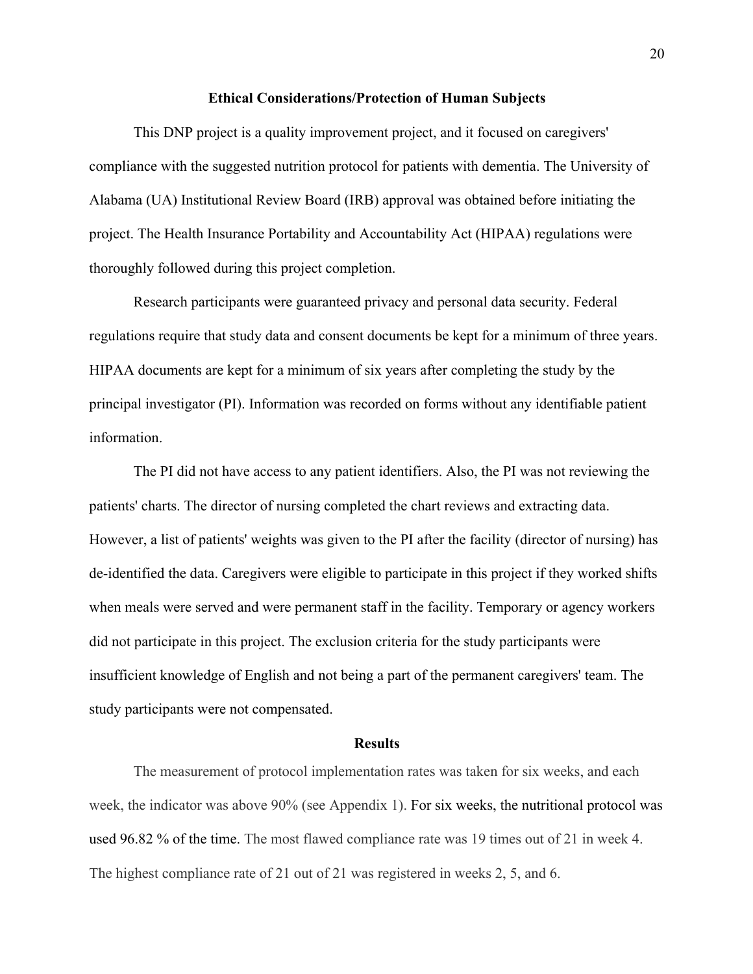#### **Ethical Considerations/Protection of Human Subjects**

This DNP project is a quality improvement project, and it focused on caregivers' compliance with the suggested nutrition protocol for patients with dementia. The University of Alabama (UA) Institutional Review Board (IRB) approval was obtained before initiating the project. The Health Insurance Portability and Accountability Act (HIPAA) regulations were thoroughly followed during this project completion.

Research participants were guaranteed privacy and personal data security. Federal regulations require that study data and consent documents be kept for a minimum of three years. HIPAA documents are kept for a minimum of six years after completing the study by the principal investigator (PI). Information was recorded on forms without any identifiable patient information.

The PI did not have access to any patient identifiers. Also, the PI was not reviewing the patients' charts. The director of nursing completed the chart reviews and extracting data. However, a list of patients' weights was given to the PI after the facility (director of nursing) has de-identified the data. Caregivers were eligible to participate in this project if they worked shifts when meals were served and were permanent staff in the facility. Temporary or agency workers did not participate in this project. The exclusion criteria for the study participants were insufficient knowledge of English and not being a part of the permanent caregivers' team. The study participants were not compensated.

#### **Results**

The measurement of protocol implementation rates was taken for six weeks, and each week, the indicator was above 90% (see Appendix 1). For six weeks, the nutritional protocol was used 96.82 % of the time. The most flawed compliance rate was 19 times out of 21 in week 4. The highest compliance rate of 21 out of 21 was registered in weeks 2, 5, and 6.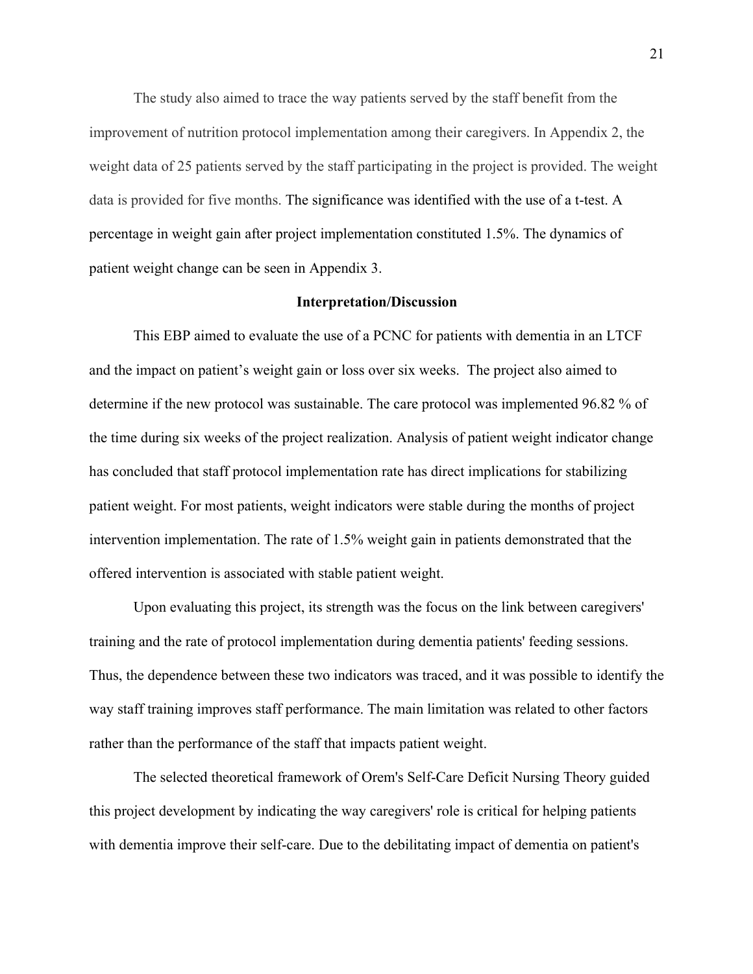The study also aimed to trace the way patients served by the staff benefit from the improvement of nutrition protocol implementation among their caregivers. In Appendix 2, the weight data of 25 patients served by the staff participating in the project is provided. The weight data is provided for five months. The significance was identified with the use of a t-test. A percentage in weight gain after project implementation constituted 1.5%. The dynamics of patient weight change can be seen in Appendix 3.

#### **Interpretation/Discussion**

This EBP aimed to evaluate the use of a PCNC for patients with dementia in an LTCF and the impact on patient's weight gain or loss over six weeks. The project also aimed to determine if the new protocol was sustainable. The care protocol was implemented 96.82 % of the time during six weeks of the project realization. Analysis of patient weight indicator change has concluded that staff protocol implementation rate has direct implications for stabilizing patient weight. For most patients, weight indicators were stable during the months of project intervention implementation. The rate of 1.5% weight gain in patients demonstrated that the offered intervention is associated with stable patient weight.

Upon evaluating this project, its strength was the focus on the link between caregivers' training and the rate of protocol implementation during dementia patients' feeding sessions. Thus, the dependence between these two indicators was traced, and it was possible to identify the way staff training improves staff performance. The main limitation was related to other factors rather than the performance of the staff that impacts patient weight.

The selected theoretical framework of Orem's Self-Care Deficit Nursing Theory guided this project development by indicating the way caregivers' role is critical for helping patients with dementia improve their self-care. Due to the debilitating impact of dementia on patient's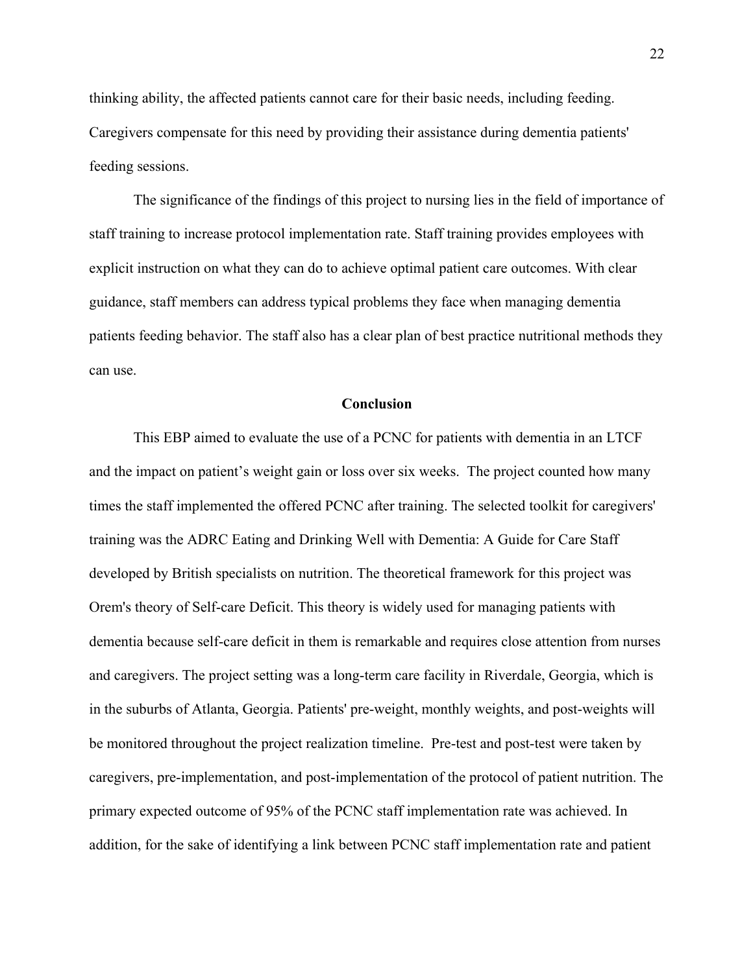thinking ability, the affected patients cannot care for their basic needs, including feeding. Caregivers compensate for this need by providing their assistance during dementia patients' feeding sessions.

The significance of the findings of this project to nursing lies in the field of importance of staff training to increase protocol implementation rate. Staff training provides employees with explicit instruction on what they can do to achieve optimal patient care outcomes. With clear guidance, staff members can address typical problems they face when managing dementia patients feeding behavior. The staff also has a clear plan of best practice nutritional methods they can use.

#### **Conclusion**

This EBP aimed to evaluate the use of a PCNC for patients with dementia in an LTCF and the impact on patient's weight gain or loss over six weeks. The project counted how many times the staff implemented the offered PCNC after training. The selected toolkit for caregivers' training was the ADRC Eating and Drinking Well with Dementia: A Guide for Care Staff developed by British specialists on nutrition. The theoretical framework for this project was Orem's theory of Self-care Deficit. This theory is widely used for managing patients with dementia because self-care deficit in them is remarkable and requires close attention from nurses and caregivers. The project setting was a long-term care facility in Riverdale, Georgia, which is in the suburbs of Atlanta, Georgia. Patients' pre-weight, monthly weights, and post-weights will be monitored throughout the project realization timeline. Pre-test and post-test were taken by caregivers, pre-implementation, and post-implementation of the protocol of patient nutrition. The primary expected outcome of 95% of the PCNC staff implementation rate was achieved. In addition, for the sake of identifying a link between PCNC staff implementation rate and patient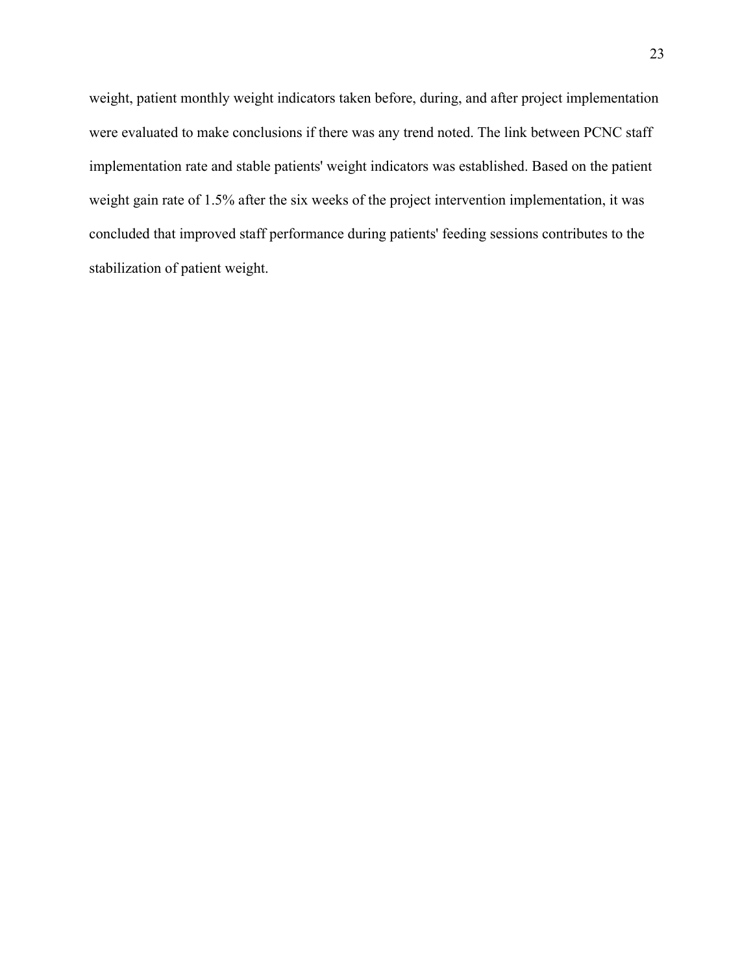weight, patient monthly weight indicators taken before, during, and after project implementation were evaluated to make conclusions if there was any trend noted. The link between PCNC staff implementation rate and stable patients' weight indicators was established. Based on the patient weight gain rate of 1.5% after the six weeks of the project intervention implementation, it was concluded that improved staff performance during patients' feeding sessions contributes to the stabilization of patient weight.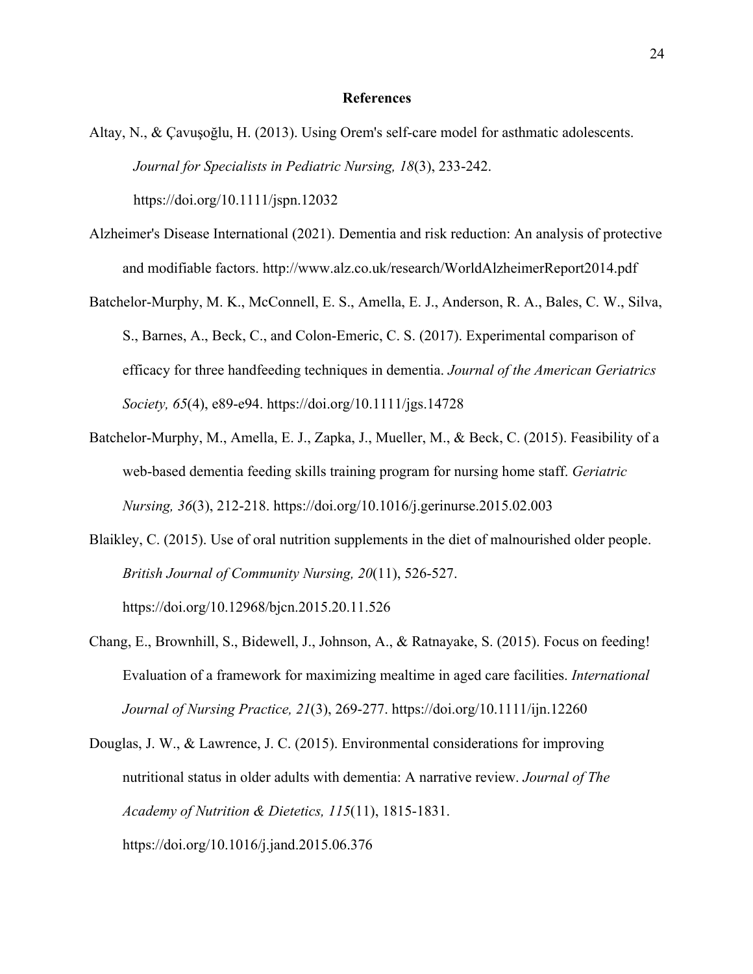#### **References**

Altay, N., & Çavuşoğlu, H. (2013). Using Orem's self‐care model for asthmatic adolescents. *Journal for Specialists in Pediatric Nursing, 18*(3), 233-242.

https://doi.org/10.1111/jspn.12032

- Alzheimer's Disease International (2021). Dementia and risk reduction: An analysis of protective and modifiable factors. http://www.alz.co.uk/research/WorldAlzheimerReport2014.pdf
- Batchelor-Murphy, M. K., McConnell, E. S., Amella, E. J., Anderson, R. A., Bales, C. W., Silva, S., Barnes, A., Beck, C., and Colon-Emeric, C. S. (2017). Experimental comparison of efficacy for three handfeeding techniques in dementia. *Journal of the American Geriatrics Society, 65*(4), e89-e94. https://doi.org/10.1111/jgs.14728
- Batchelor-Murphy, M., Amella, E. J., Zapka, J., Mueller, M., & Beck, C. (2015). Feasibility of a web-based dementia feeding skills training program for nursing home staff. *Geriatric Nursing, 36*(3), 212-218. https://doi.org/10.1016/j.gerinurse.2015.02.003
- Blaikley, C. (2015). Use of oral nutrition supplements in the diet of malnourished older people. *British Journal of Community Nursing, 20*(11), 526-527. https://doi.org/10.12968/bjcn.2015.20.11.526
- Chang, E., Brownhill, S., Bidewell, J., Johnson, A., & Ratnayake, S. (2015). Focus on feeding! Evaluation of a framework for maximizing mealtime in aged care facilities. *International Journal of Nursing Practice, 21*(3), 269-277. https://doi.org/10.1111/ijn.12260
- Douglas, J. W., & Lawrence, J. C. (2015). Environmental considerations for improving nutritional status in older adults with dementia: A narrative review. *Journal of The Academy of Nutrition & Dietetics, 115*(11), 1815-1831. https://doi.org/10.1016/j.jand.2015.06.376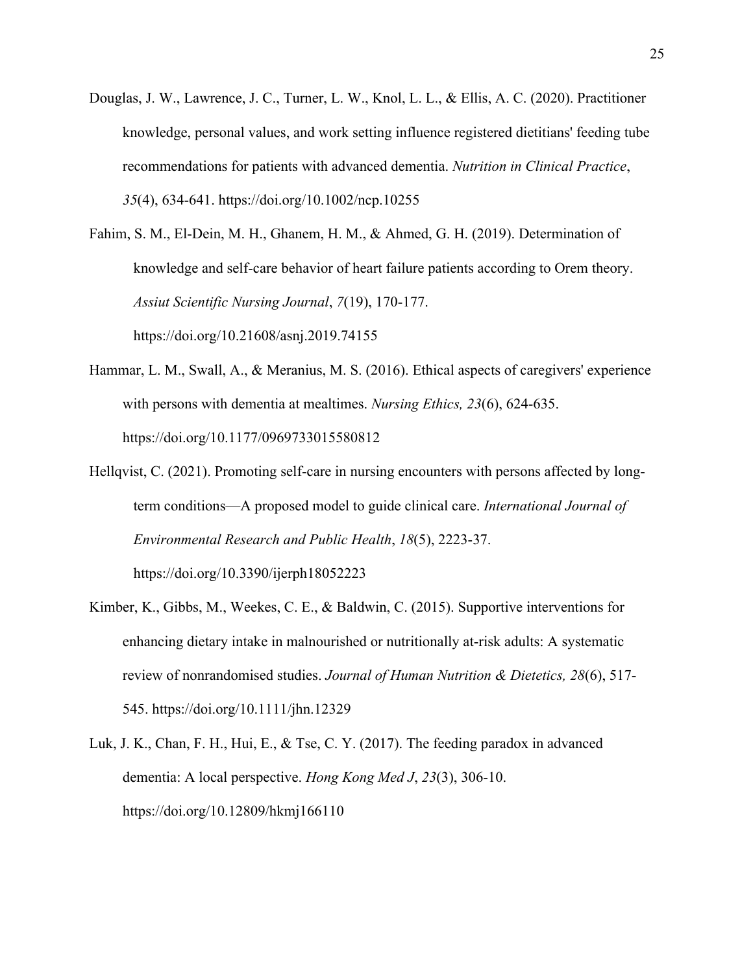Douglas, J. W., Lawrence, J. C., Turner, L. W., Knol, L. L., & Ellis, A. C. (2020). Practitioner knowledge, personal values, and work setting influence registered dietitians' feeding tube recommendations for patients with advanced dementia. *Nutrition in Clinical Practice*, *35*(4), 634-641. https://doi.org/10.1002/ncp.10255

Fahim, S. M., El-Dein, M. H., Ghanem, H. M., & Ahmed, G. H. (2019). Determination of knowledge and self-care behavior of heart failure patients according to Orem theory. *Assiut Scientific Nursing Journal*, *7*(19), 170-177. https://doi.org/10.21608/asnj.2019.74155

- Hammar, L. M., Swall, A., & Meranius, M. S. (2016). Ethical aspects of caregivers' experience with persons with dementia at mealtimes. *Nursing Ethics, 23*(6), 624-635. https://doi.org/10.1177/0969733015580812
- Hellqvist, C. (2021). Promoting self-care in nursing encounters with persons affected by longterm conditions—A proposed model to guide clinical care. *International Journal of Environmental Research and Public Health*, *18*(5), 2223-37. https://doi.org/10.3390/ijerph18052223
- Kimber, K., Gibbs, M., Weekes, C. E., & Baldwin, C. (2015). Supportive interventions for enhancing dietary intake in malnourished or nutritionally at-risk adults: A systematic review of nonrandomised studies. *Journal of Human Nutrition & Dietetics, 28*(6), 517- 545. https://doi.org/10.1111/jhn.12329
- Luk, J. K., Chan, F. H., Hui, E., & Tse, C. Y. (2017). The feeding paradox in advanced dementia: A local perspective. *Hong Kong Med J*, *23*(3), 306-10. https://doi.org/10.12809/hkmj166110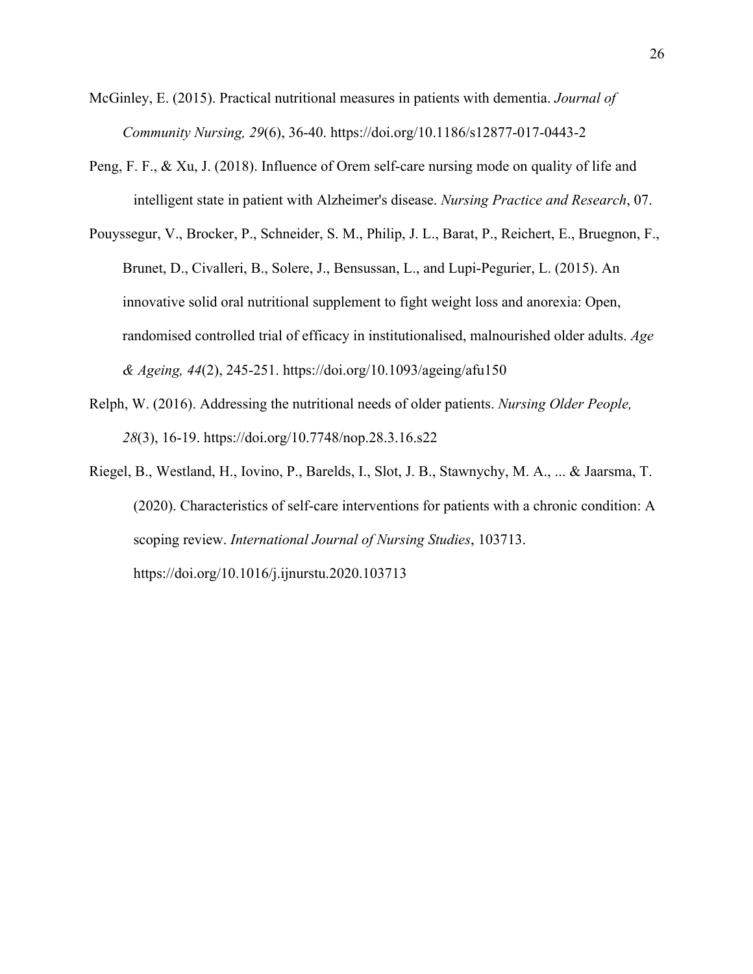McGinley, E. (2015). Practical nutritional measures in patients with dementia. *Journal of Community Nursing, 29*(6), 36-40. https://doi.org/10.1186/s12877-017-0443-2

- Peng, F. F., & Xu, J. (2018). Influence of Orem self-care nursing mode on quality of life and intelligent state in patient with Alzheimer's disease. *Nursing Practice and Research*, 07.
- Pouyssegur, V., Brocker, P., Schneider, S. M., Philip, J. L., Barat, P., Reichert, E., Bruegnon, F., Brunet, D., Civalleri, B., Solere, J., Bensussan, L., and Lupi-Pegurier, L. (2015). An innovative solid oral nutritional supplement to fight weight loss and anorexia: Open, randomised controlled trial of efficacy in institutionalised, malnourished older adults. *Age & Ageing, 44*(2), 245-251. https://doi.org/10.1093/ageing/afu150
- Relph, W. (2016). Addressing the nutritional needs of older patients. *Nursing Older People, 28*(3), 16-19. https://doi.org/10.7748/nop.28.3.16.s22
- Riegel, B., Westland, H., Iovino, P., Barelds, I., Slot, J. B., Stawnychy, M. A., ... & Jaarsma, T. (2020). Characteristics of self-care interventions for patients with a chronic condition: A scoping review. *International Journal of Nursing Studies*, 103713. https://doi.org/10.1016/j.ijnurstu.2020.103713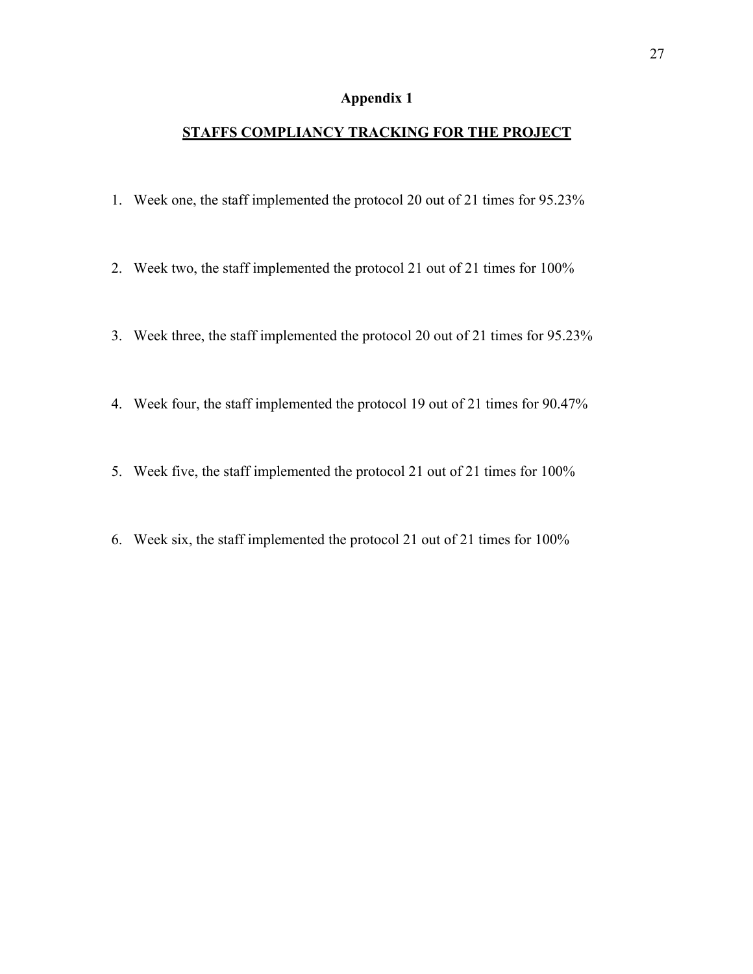## **Appendix 1**

### **STAFFS COMPLIANCY TRACKING FOR THE PROJECT**

- 1. Week one, the staff implemented the protocol 20 out of 21 times for 95.23%
- 2. Week two, the staff implemented the protocol 21 out of 21 times for 100%
- 3. Week three, the staff implemented the protocol 20 out of 21 times for 95.23%
- 4. Week four, the staff implemented the protocol 19 out of 21 times for 90.47%
- 5. Week five, the staff implemented the protocol 21 out of 21 times for 100%
- 6. Week six, the staff implemented the protocol 21 out of 21 times for 100%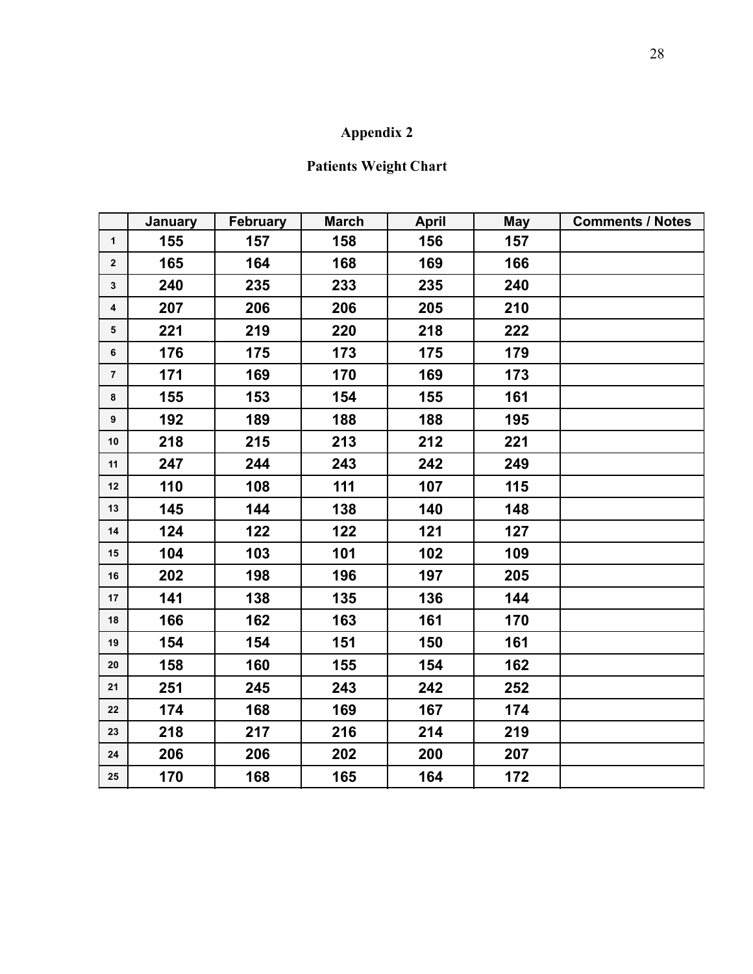## **Appendix 2**

## **Patients Weight Chart**

| $\mathbf 1$<br>$\mathbf{2}$<br>$\mathbf{3}$<br>$\overline{\mathbf{4}}$ | 155<br>165<br>240<br>207 | 157<br>164<br>235 | 158<br>168<br>233 | 156<br>169 | 157<br>166 |  |
|------------------------------------------------------------------------|--------------------------|-------------------|-------------------|------------|------------|--|
|                                                                        |                          |                   |                   |            |            |  |
|                                                                        |                          |                   |                   |            |            |  |
|                                                                        |                          |                   |                   | 235        | 240        |  |
|                                                                        |                          | 206               | 206               | 205        | 210        |  |
| $5^{\circ}$                                                            | 221                      | 219               | 220               | 218        | 222        |  |
| 6                                                                      | 176                      | 175               | 173               | 175        | 179        |  |
| $\overline{7}$                                                         | 171                      | 169               | 170               | 169        | 173        |  |
| 8                                                                      | 155                      | 153               | 154               | 155        | 161        |  |
| 9                                                                      | 192                      | 189               | 188               | 188        | 195        |  |
| $10\,$                                                                 | 218                      | 215               | 213               | 212        | 221        |  |
| 11                                                                     | 247                      | 244               | 243               | 242        | 249        |  |
| 12                                                                     | 110                      | 108               | 111               | 107        | 115        |  |
| 13                                                                     | 145                      | 144               | 138               | 140        | 148        |  |
| 14                                                                     | 124                      | 122               | 122               | 121        | 127        |  |
| 15                                                                     | 104                      | 103               | 101               | 102        | 109        |  |
| 16                                                                     | 202                      | 198               | 196               | 197        | 205        |  |
| 17                                                                     | 141                      | 138               | 135               | 136        | 144        |  |
| ${\bf 18}$                                                             | 166                      | 162               | 163               | 161        | 170        |  |
| 19                                                                     | 154                      | 154               | 151               | 150        | 161        |  |
| $20\,$                                                                 | 158                      | 160               | 155               | 154        | 162        |  |
| 21                                                                     | 251                      | 245               | 243               | 242        | 252        |  |
| 22                                                                     | 174                      | 168               | 169               | 167        | 174        |  |
| 23                                                                     | 218                      | 217               | 216               | 214        | 219        |  |
| ${\bf 24}$                                                             | 206                      | 206               | 202               | 200        | 207        |  |
| $25\,$                                                                 | 170                      | 168               | 165               | 164        | 172        |  |